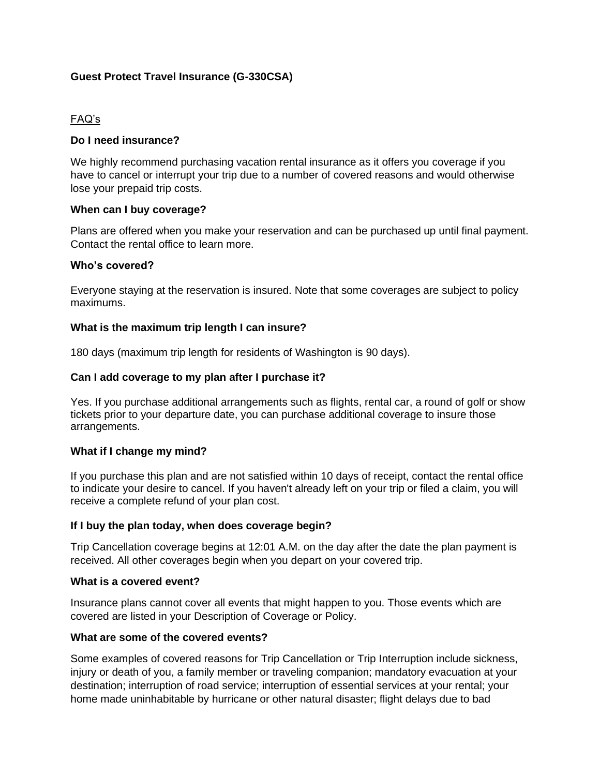# **Guest Protect Travel Insurance (G-330CSA)**

# FAQ's

## **Do I need insurance?**

We highly recommend purchasing vacation rental insurance as it offers you coverage if you have to cancel or interrupt your trip due to a number of covered reasons and would otherwise lose your prepaid trip costs.

### **When can I buy coverage?**

Plans are offered when you make your reservation and can be purchased up until final payment. Contact the rental office to learn more.

### **Who's covered?**

Everyone staying at the reservation is insured. Note that some coverages are subject to policy maximums.

### **What is the maximum trip length I can insure?**

180 days (maximum trip length for residents of Washington is 90 days).

### **Can I add coverage to my plan after I purchase it?**

Yes. If you purchase additional arrangements such as flights, rental car, a round of golf or show tickets prior to your departure date, you can purchase additional coverage to insure those arrangements.

### **What if I change my mind?**

If you purchase this plan and are not satisfied within 10 days of receipt, contact the rental office to indicate your desire to cancel. If you haven't already left on your trip or filed a claim, you will receive a complete refund of your plan cost.

#### **If I buy the plan today, when does coverage begin?**

Trip Cancellation coverage begins at 12:01 A.M. on the day after the date the plan payment is received. All other coverages begin when you depart on your covered trip.

#### **What is a covered event?**

Insurance plans cannot cover all events that might happen to you. Those events which are covered are listed in your Description of Coverage or Policy.

#### **What are some of the covered events?**

Some examples of covered reasons for Trip Cancellation or Trip Interruption include sickness, injury or death of you, a family member or traveling companion; mandatory evacuation at your destination; interruption of road service; interruption of essential services at your rental; your home made uninhabitable by hurricane or other natural disaster; flight delays due to bad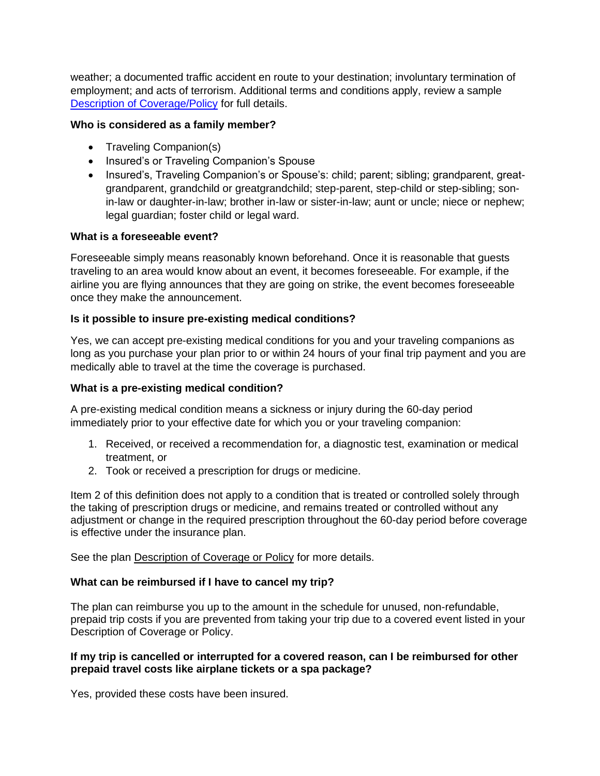weather; a documented traffic accident en route to your destination; involuntary termination of employment; and acts of terrorism. Additional terms and conditions apply, review a sample [Description of Coverage/Policy](http://www.csatravelprotection.com/certpolicy.do?product=G-330CSA) for full details.

## **Who is considered as a family member?**

- Traveling Companion(s)
- Insured's or Traveling Companion's Spouse
- Insured's, Traveling Companion's or Spouse's: child; parent; sibling; grandparent, greatgrandparent, grandchild or greatgrandchild; step-parent, step-child or step-sibling; sonin-law or daughter-in-law; brother in-law or sister-in-law; aunt or uncle; niece or nephew; legal guardian; foster child or legal ward.

# **What is a foreseeable event?**

Foreseeable simply means reasonably known beforehand. Once it is reasonable that guests traveling to an area would know about an event, it becomes foreseeable. For example, if the airline you are flying announces that they are going on strike, the event becomes foreseeable once they make the announcement.

# **Is it possible to insure pre-existing medical conditions?**

Yes, we can accept pre-existing medical conditions for you and your traveling companions as long as you purchase your plan prior to or within 24 hours of your final trip payment and you are medically able to travel at the time the coverage is purchased.

# **What is a pre-existing medical condition?**

A pre-existing medical condition means a sickness or injury during the 60-day period immediately prior to your effective date for which you or your traveling companion:

- 1. Received, or received a recommendation for, a diagnostic test, examination or medical treatment, or
- 2. Took or received a prescription for drugs or medicine.

Item 2 of this definition does not apply to a condition that is treated or controlled solely through the taking of prescription drugs or medicine, and remains treated or controlled without any adjustment or change in the required prescription throughout the 60-day period before coverage is effective under the insurance plan.

See the plan [Description of Coverage or Policy](http://www.csatravelprotection.com/certpolicy.do?product=G-330CSA) for more details.

# **What can be reimbursed if I have to cancel my trip?**

The plan can reimburse you up to the amount in the schedule for unused, non-refundable, prepaid trip costs if you are prevented from taking your trip due to a covered event listed in your Description of Coverage or Policy.

### **If my trip is cancelled or interrupted for a covered reason, can I be reimbursed for other prepaid travel costs like airplane tickets or a spa package?**

Yes, provided these costs have been insured.